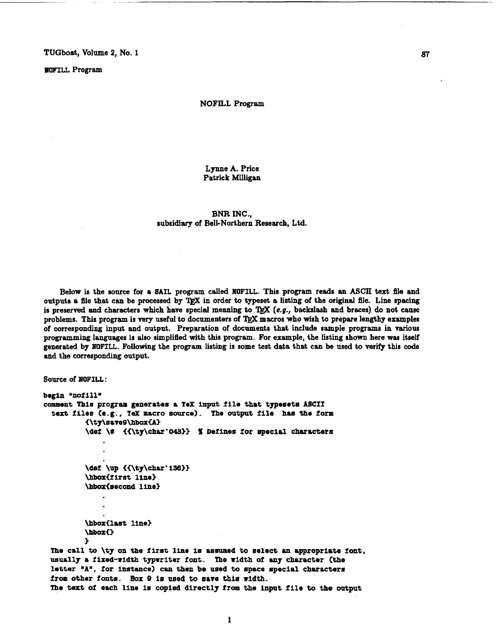**~OOFILL** Program

#### NOFILL Program

Lynne A. Price Patrick Miligan

**BNR INC.,**  subsidiary of Bell-Northern Research, **Ltd.** 

Below is the source for a SAIL program called **NOFILL**. This program reads an ASCII text file and outputs a file that can be processed by TFX in order to typeset a listing of the original file. Line spacing is preserved and characters which have special meaning to TgX (e.g., backslash and braces) do not cause problems. This program is very useful to documenters of TEX macros who wish to prepare lengthy examples of corresponding input and output. Preparation of documents that include sample programs in various programming languages is also simplified with this program. For example, the listing shown here was itself generated by **XOFILL.** Follcrwing the program listing is some **test** data that can be used to verify this code and the corresponding output.

```
Source of NOFILL:
```

```
begin "nofill"
comment ?hie program generates a Tex input file that typesets A8CfX 
 text files Ce.g;, TeX macro source). The output file has the form 
          €\ty\save£J\hboxiA) 
          \def \# {{\ty\char'043}} % Defines for special characters
          \def \up {{\ty\char'136}}
          \hbox<f lrst line3 
          \hbox{second line}
          \hbox{last line}
          \hbox<) 
          > 
 The call to \ty on the first line is assumed to select an appxopriate font. 
 usually a fixed-width typwriter font. The width of any character (the
```
letter **'AU,** for instance) can then be,used **to** space special charactera **from** other **fonts,** Box 9 **is used** to **sate** this **nidth.**  The text of each line is copied direct17 from **the** input file to the output

 $\mathbf{1}$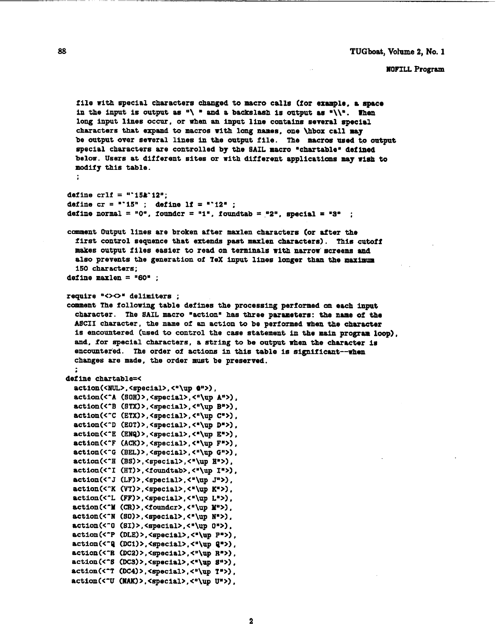#### WOFILL Program

```
file with special characters changed to macro calla (for example. a space 
  in the input is output as \sqrt{ } and a backslash is output as \sqrt{ }. Then
  long input lines occur, or when an input line contains several special 
  characters that expand to macros with long names, one \hbox call may
  be output over several lines in the output file. The macros used to output
  special characters are controlled by the SAIL macro "chartable" defined
  below. Users at different sites or with different applications may wish to 
  modify this table. 
define crlf = "'15&'12*; 
define cr = "15"; define 1f = "12";
define normal = "0", founder = "1", foundtab = "2", special = "3" ;
comment Output lines are broken after maxlen characters (or after the
  first control sequence that ertends past maxlen characters). This cutoff 
  makes output files easier to read on terminals with narrow'screens and 
  also prevents the generation of TeX input lines longer thaa the maximum 
  150 characters; 
define maxlen = "60" ;
require "<><> delimiters ;
comment The following table defines the processing performed on each input 
  character. The SAIL macro "action" has three parameters: the name of the
  ASCII character, the name of an action to be performed when the character
  is encountered (used to control the case statement in the main program loop). 
  and, for special characters, a string to be output when the character is 
  encountered. The order of actions in this table is significant--when
   changes are made, the order must be preserved. 
, 
define chartable=< 
  action(<NUL>,<special>,<"\up \bullet">),
  action(<"A (SOH)>, <special>, <"\up A">),
  action(<^B (STX)>, <special>, <"\up B">),
  action(<"C (ETX)>, <special>, <"\up C">),
  action(\text{CD (E0T)} > \text{Cspectal} > \text{Cap.}action(<^E (ENQ)>, <special>, <"\up E">),
  action(<-F (Am)>, <special>, <*\up Fa>), 
  action(<^G (BEL)>, <special>, <"\up G">),
  \texttt{action}(\text{CH (BS)} > \text{seceial} > \text{C} \text{up H} \text{F}action(<<sup>-</sup>I (HT)>,<foundtab>,<"\up I">),
 \text{action}(\langle \cdot, J(LF) \rangle, \langle \text{special} \rangle, \langle \cdot, \text{lup J} \rangle),
 action(<"K (VT)>, <special>, <"\up K">).
 action(<'L (FF) >, <special>, <*\up Lm>) , 
 action(<"M (CR)>,<foundcr>,<"\up M">),
 action(<"N (SO)>, <special>, <"\up N">).
 action(<<sup>-0</sup> (81)>,<special>,<"\up 0">),
 action(<P (DLE) >, <special>, <"\up P">),
 \text{action}(\leq \text{ (DC1)} > \text{ (special)} \leq \text{ (up (2)}),
 action(<"R (DC2)>, <special>, <"\up R">),
 action(<^S (DC3)>, <special>, <*\up 8">),
 action(<-? (DC4) > , <special>, <"\up Tm>) , 
 action(<<sup>-</sup>U (NAK)>, <special>, <"\up U">),
```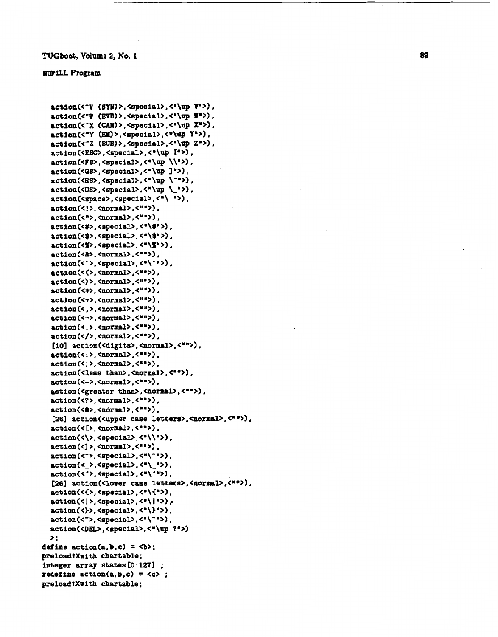### **INFILL Program**

```
actlon(<'V (BY#) >, <epecial>. <"\up Vw>) . 
   action(<*V (ETB) >, especial>. cm\up I*>) . 
   actian(<'X (CAN) >, <special>, <"\up Xu>) , 
   action(<'Y (EM) >. <special>. <'\up Yu>) . 
   \text{action}(\text{<-Z (SUB)} > \text{,} \text{`spectral} > \text{,'`up Z"'})action(<ESC>, <special>, <"\up IN>) , 
   action(<FS>, <special>, <"\up \\">I , 
   actlon(<GS> , <special>, <"\up 1 . 
   action(<R8>,<special>,<"\up \"">),
   action(<US>, <special>, <"\up \_">),
   action(<space>,<special>,<"\ ">),
   action(<!>, <normal>,<")). 
   action(<">,<normal>,<"">);
   action(<#>,<special>,<"\#">),
   action(<$>, <special>, <"\$">),
    action(<%>, <special>, <"\%">),<br>action(<&>, <normal>, <"">),
   \text{action}(\langle \cdot \rangle, \langle \text{special} \rangle, \langle \cdot \rangle).
   \texttt{action}(\langle \rangle, \langle \texttt{normal}\rangle, \langle \texttt{""}\rangle),
   action(<)>,<normal>,<"">),
   action(<*>, <normal>. <"'>), 
   action(<+>,<normal>,<"">),
   action(<,>,<normal>,<"">),
   action(<->, <normal> , 
   action(<.>,<normal>,<"">),
   action (</>. <normal>, , 
   llO1 action(<digits>, (aormal>, ('9) , 
   \texttt{action}(\langle \cdot \rangle, \langle \texttt{normal}\rangle, \langle \texttt{""} \rangle).
   action(<;>,<normal>,<**>),
    action(<less than>,<normal>,<*">),<br>action(<=>,<normal>,<"">),
   action(<=>.<normal>.<"">).<br>action(<greater than>.<normal>.<"">).
   action(<?>, <normal>,<"'>) , 
   action(<0>,<normal>,<"">),
   [26] action(<upper case letters>,<normal>,<"">),
   action(< C>, <normal>, 
   action(<\>, <special>, <w\\'>), 
   action(<]>,<normal>,<"">),
   action(<<sup>-</sup>>,<special>,<"\"">),
   \texttt{action}({\langle} _{\texttt{a}}, {\langle} \texttt{special} {\rangle}, {\langle}^{\texttt{a}} {\langle}_{\texttt{a}} \texttt{m} {\rangle}),
   action(<~>.<specIal>, <m\-m>), 
   [26] action(<lower case letters>, <normal>, <**>>,
   action(<{>,<special>,<"\{">),
   \text{action}(\langle \rangle, \langle \text{special}\rangle, \langle \text{``}\rangle).
   action(<}>,<special>,<"\}">).
  \text{action}(\langle ^{-}\rangle, <\text{special}\rangle, <"\langle ^{-}\rangle),
  \texttt{action}(\langle \texttt{DEL} \rangle, \langle \texttt{spocial} \rangle, \langle \texttt{I} \rangle, \langle \texttt{I} \rangle)\mathbf{r}:
daZlne action(a,b,c) = <b>; 
preloadtXwith chartable; 
intieger array states 10: 1271 ; 
 lnteger array states[0:127] ;<br>redefine action(a,b,c) = <c> ;
 pedefine action(a,b,c) = <<br>preload?Xwith chartable;
```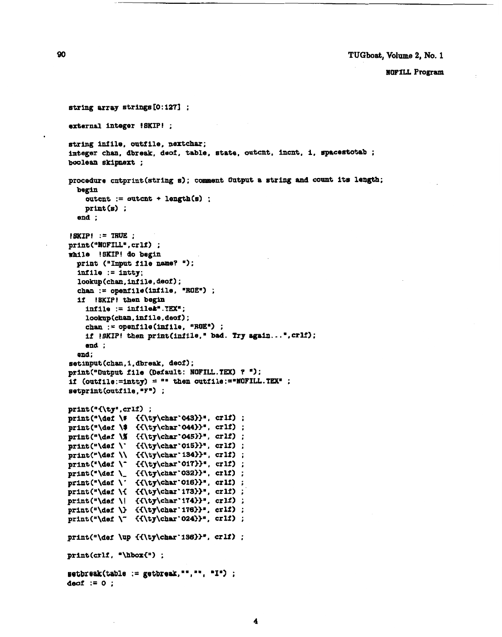**NOFILL Program** 

```
string array strings 10 : 1271 ; 
external integer !SKIP! ; 
string inf ile, outf ile, nextchar; 
integer chan, dbreak, deof, table. state, outxnt, incnt, i, spacestotab ; 
boolesn skipnext ; 
procedure cntprint(str1ng 8); ccamnt Output a string and count its length; 
  begin
     outcnt := outcnt + length(s1 ; 
      putcnt := ou<br>pri<mark>nt(s) ;</mark>
   end ; 
 !SKIP! := TRUE ; 
print("NOTE', crlf) ;
rrllile !SKIP! do begin 
  print ("Input file name? ");
  infile := intty; 
  lookup(chan, Infile, deof 1 ; 
  chan := openfile(infile, "ROE") ;
  if !SKIP! then begin 
     infile := lnfile&*.TWm; 
     lookup(chan,infile, door);cham := openfile(infile, "ROEm) ; 
     if !SKIP! then print(intile, " bad. Try again...".cr1f);end ; 
  end; 
setinput (chan, 1. dbreak, deoi);
print ("Output file (Deiault : IOFIU. IW) ? '1 ; 
if (outfile:=intty) = "" then outfile:=*NOTEILL.TEX" ;setprint (oatf ile , .Fm) ; 
print("{\ty",crlf) ;
print (*\def \# ii\ty\~hsr'0433)~, cr 1s) ; 
print ("\def \$ {{\ty\char'044}}", crlf) ;
print P\aer \% ii\ty\char'04533., crlf) ; 
print ("\def \' ii\ty\char'0153P, crlf) ; 
print ('\&el \\ ii\ty\char' 1343>", crlf l ; 
 print("\def \\ {{\ty\char`134}}", crlf) ;<br>print("\def \<sup>-</sup> {{\ty\char`017}}", crlf) ;
 print("\def \~ {{\ty\char`O17}}", crlf) ;<br>print("\def \_ {{\ty\char`O32}}", crlf) ;
print ("\def \_ {{\ty\char'032}}", crlf) ;<br>print ("\def \' {{\ty\char'016}}", crlf) ;
print (*\def \i C<\ty\char' 17333., crlf) ; 
print (Wef \ I ii\ty\chsr' 17433*. crli) ; 
print("\def \) {({\t y\char'176})}", cril) ;print ("\def \" {{\ty\char'024}}", crlf) ;
print ("\def \up ii\ty\char' i363>*, crlf) ; 
print(crlf, "\hbox{") ;
setbreak(table := getbreak, "", "", "I") ;
deof := 0 ;
```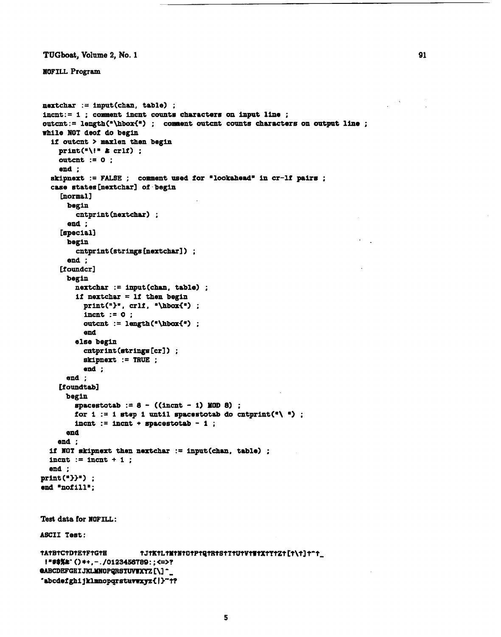**nEIWrILL Program** 

```
nextchar := input(char, table) ;
incnt:= 1 : comment incnt counts characters on input line :
outcnt := length("\hbox{\tt \char'4}") ; comment outcnt counts characters on output line ;
while NOT deof do begin 
  if outcnt > maxlen then begin 
    print('\!* L crlf) ; 
    outcnt := 0:
     end ; 
  skipnext := FALSE ; comment used for "lookahead" in cr-lf pairs ;
  case states Cnextcharl of - begin 
     [normal]
       begin 
         cntpr int (nextchar) ;
       end ; 
     [special] 
      begin 
         cntprint (strings [nextchar] ) ;
       end ; 
     [foundcr]
      begin 
         nextchar := input(char. table) ;
         if nextchar = 1f then begin
           print("P", crit, "\\hboxf");
           incnt := 0;
           outcnt := length("\hbox{") ;
           end 
         else begin 
           cntprint (strings [crl) ; 
           shipnext := TRUE ; 
           end ; 
      end ; 
     [foundtab]
      begin 
        spacestotab := 8 - ((incnt - 1) HOD 8) ; 
        for 1 := 1 step 1 until spacestotab do cntprint(\mathbf{F} \setminus \mathbf{F}) :
         incnt := incnt + spacestotab -1;
      end 
    end ; 
  if NOT skipnext then nextchar := input(chan, table) ;
  incnt := incnt +1 ;
  end ; 
print (93'1 ; 
end "nofill'; 
Test data for NOFILL : 
ASCII Test: tJ1KtL1M1N101P1Q1R1S1T1U1V1W1X1Y1Z1[1\1]1^1_
TATBTCTDTETFTGTH
 !"#$%#`()*+,-./0123456789:;<=>?
eABCDEFGHIJKLMNOPQRSTUVWXYZ[\]-
"abcdefghijklmnopqrstuvwxyz{|}"t?
```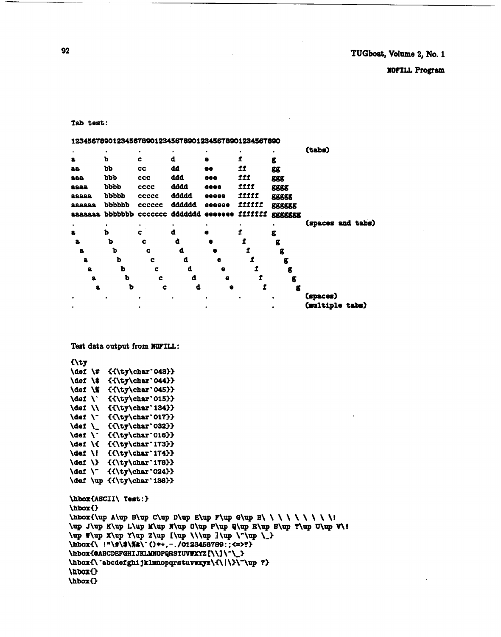```
\hbor(ASCII\ Test:) 
\hbarO 
\hboxi\up A\up B\up C\up D\up E\up F\up G\up H\ \ \ \ \ \ \ \ \I 
\up J\U~ up t\up M\UP up o\ap p\up u\up up s\ap ~\ap u\up Y\I 
\up T\up X\up Y\up Z\up [\up \\\up ] \up \-\up \_}
\hboxi\ I w\a\%&\- o a+, - . /0123458789 : ; <=>?3 
\hbox{@ABCDEFGHIJKLMNOPQRSTUVWXYZ [\\]\^\_}
\hbox{\'abcdefghi jklmnopqrstuwwxyz\{\|\}\<sup>-</sup>\up ?}
\hlxxil 
\hbox{}
```

```
{\ty
\def \# {{\ty\char'043}}
\def \$ {{\ty\char'044}}
\def \% {{\ty\char'045}}
\def \` {{\ty\char'015}}
\def \\ {{\ty\char'134}}
\def \"{{\ty\char'017}}
\def \_ {{\ty\char'032}}
\def \' {{\ty\char'016}}
\def \{ {{\ty\char'173}}
\def \| {{\ty\char'174}}
\det \" {{\ty\char'024}}
\def \up {{\ty\char'136}}
```
Test data output from **NOFILL:** 

| (tabs)<br>٠<br>ъ<br>d<br>C<br>Ĩ<br>а.<br>g<br>bb<br>dd<br>11<br>cc<br>88<br>66<br>88<br>ddd<br>111<br>bbb<br>288<br>ccc<br><b>996</b><br><b>EBS</b><br>1111<br>dddd<br><b>bbbb</b><br><b>CCCC</b><br>6866<br>8888<br><b>EEEE</b><br>ddddd<br>IIIII<br>ppppp<br><b>CCCCC</b><br>22222<br><b>00000</b><br>88888<br>dddddd<br>fiitti<br>pppppp<br>222223<br>cecece<br><b>eeeeee</b><br>EEEEEE<br>ddddddd<br>ppppppp<br><b>IIIIIII</b><br><b>CCCCCCC</b><br><b>Baaaaa</b><br>6666666<br>EEEEEEE<br>(spaces and tabs)<br>٠<br>ъ<br>d<br>8<br>c<br>g<br>ъ<br>đ<br>c<br>a<br>g<br>a<br>ъ<br>d<br>c<br>8.<br>e<br>£<br>b<br>d<br>a<br>c<br>e<br>g<br>ъ<br>d<br>c<br>e<br>g<br>ъ<br>đ<br>c<br>g<br>e<br>ъ<br>d<br>f<br>c<br>а.<br>g<br>e<br>(spaces)<br>(multiple tabs) | 12345678901234567890123456789012345678901234567890 |  |  |  |
|----------------------------------------------------------------------------------------------------------------------------------------------------------------------------------------------------------------------------------------------------------------------------------------------------------------------------------------------------------------------------------------------------------------------------------------------------------------------------------------------------------------------------------------------------------------------------------------------------------------------------------------------------------------------------------------------------------------------------------------------------------------|----------------------------------------------------|--|--|--|
|                                                                                                                                                                                                                                                                                                                                                                                                                                                                                                                                                                                                                                                                                                                                                                |                                                    |  |  |  |
|                                                                                                                                                                                                                                                                                                                                                                                                                                                                                                                                                                                                                                                                                                                                                                |                                                    |  |  |  |
|                                                                                                                                                                                                                                                                                                                                                                                                                                                                                                                                                                                                                                                                                                                                                                |                                                    |  |  |  |
|                                                                                                                                                                                                                                                                                                                                                                                                                                                                                                                                                                                                                                                                                                                                                                |                                                    |  |  |  |
|                                                                                                                                                                                                                                                                                                                                                                                                                                                                                                                                                                                                                                                                                                                                                                |                                                    |  |  |  |
|                                                                                                                                                                                                                                                                                                                                                                                                                                                                                                                                                                                                                                                                                                                                                                |                                                    |  |  |  |
|                                                                                                                                                                                                                                                                                                                                                                                                                                                                                                                                                                                                                                                                                                                                                                |                                                    |  |  |  |
|                                                                                                                                                                                                                                                                                                                                                                                                                                                                                                                                                                                                                                                                                                                                                                |                                                    |  |  |  |
|                                                                                                                                                                                                                                                                                                                                                                                                                                                                                                                                                                                                                                                                                                                                                                |                                                    |  |  |  |
|                                                                                                                                                                                                                                                                                                                                                                                                                                                                                                                                                                                                                                                                                                                                                                |                                                    |  |  |  |
|                                                                                                                                                                                                                                                                                                                                                                                                                                                                                                                                                                                                                                                                                                                                                                |                                                    |  |  |  |
|                                                                                                                                                                                                                                                                                                                                                                                                                                                                                                                                                                                                                                                                                                                                                                |                                                    |  |  |  |
|                                                                                                                                                                                                                                                                                                                                                                                                                                                                                                                                                                                                                                                                                                                                                                |                                                    |  |  |  |
|                                                                                                                                                                                                                                                                                                                                                                                                                                                                                                                                                                                                                                                                                                                                                                |                                                    |  |  |  |
|                                                                                                                                                                                                                                                                                                                                                                                                                                                                                                                                                                                                                                                                                                                                                                |                                                    |  |  |  |
|                                                                                                                                                                                                                                                                                                                                                                                                                                                                                                                                                                                                                                                                                                                                                                |                                                    |  |  |  |
|                                                                                                                                                                                                                                                                                                                                                                                                                                                                                                                                                                                                                                                                                                                                                                |                                                    |  |  |  |
|                                                                                                                                                                                                                                                                                                                                                                                                                                                                                                                                                                                                                                                                                                                                                                |                                                    |  |  |  |

**Tab** test:

**TUGboat, Volume 2, No. 1** 

**IIOFILL Program**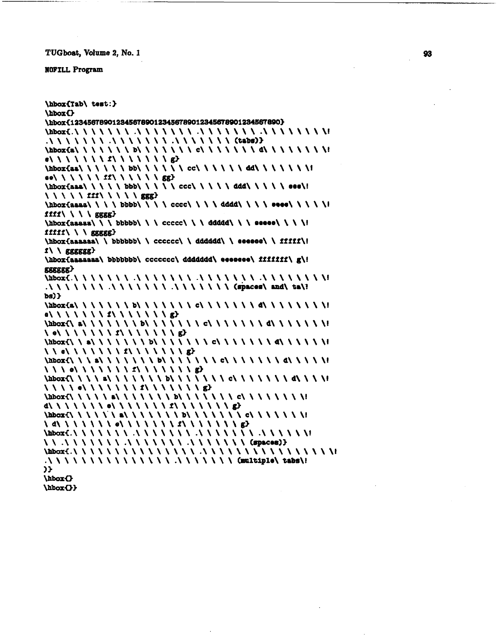#### **WOFILL Program**

\hboxCTab\ teat:) \hboxO \hbox{12345678901234567890123456789012345678901234567890} **\hbcuC.\\\\\\\** .\\\\\\\ .\\\\\\\.\\\\\\\\I .\\\\\\\ .\\\\\\\.\\\\\\\CtaW)3 **\hbwCa\\\\\\\b\\\\\\\c\\\\\\\d\\\\\\\\!**  e\\\\\\\*1*\\\\\\\\g>  $\Delta$ ee\\\\\\\II\\\\ $\{sg\}$ \aboxiaaa\ \ \ \ \ bbb\ \ \ \ \ ccc\ \ \ \ \ **ddd\** \ \ \ \ earn\! \\\\\fff\\\\\ggg>  $\hbox{\tt \#}$  $fff \land \ \ \$  gggg}  $\hbox{\tt \AA}$  \hbor{aasaa\ \ \ bbbbb\ \ \ ccccc\ \ \ dddd\ \ \ eeeee\ \ \ \ \!  $ffff \wedge \ \ \ \$ ggggg} \hboxiaaaaaa\ \ bbbbbb\ \ cccccc\ \ **dddddd\** \ eeeeee\ \ fifff\!  $f \setminus \{ \text{gggggg} \}$ \hbox{aaaaaaa\ bbbbbbb\ ccccccc\ ddddddd\ eeeeeee\ ffffff\ g\! **axsgao**  \hbarC.\\\\\\\ .\\\\\\\-\\\\\\\.\\\\\\\\I .\ \ \ \ \ \ \ .\ \ \ \ \ \ \ .\ \ \ \ \ \ \ Capace=\ **md\** %a\?  $bs$ )  $\}$  $\Delta\to\infty$ ia $\Delta\to\infty$  $e\{X\}\{Y\}\{Y\}\{Y\}\{Y\}$  $\label{th:1} $$\hbox{Cov} {\hbox{Im} \bf{U} \setminus \bf{U} \setminus \bf{I} \setminus \bf{I} \setminus \bf{I} \setminus \bf{I} \setminus \bf{I} \setminus \bf{I} \setminus \bf{I} \setminus \bf{I} \setminus \bf{I} \setminus \bf{I} \setminus \bf{I} \setminus \bf{I} \setminus \bf{I} \setminus \bf{I} \setminus \bf{I} \setminus \bf{I} \setminus \bf{I} \setminus \bf{I} \setminus \bf{I} \setminus \bf{I} \setminus \bf{I} \setminus \bf{I} \setminus \bf{I} \set$  $\{\phi\}\setminus\{\phi\}\setminus\{\phi\}\setminus\{\phi\}$ **\hboxi\\a\\\\\\\b\\\\\\\c\\\\\\\d\\\\\\I**   $\{ \Lambda \}$  of  $\{ \Lambda \}$   $\{ \Lambda \}$   $\{ \Lambda \}$   $\{ \Lambda \}$   $\{ \Lambda \}$   $\{ \Lambda \}$   $\{ \Lambda \}$   $\{ \Lambda \}$ **\hbox€\\\a\\\\\\\b\\\\\\\c\\\\\\\d\\\\\I**   $\{\lambda \setminus \{e\} \setminus \{f\} \setminus f \setminus f \setminus f \setminus f \setminus f \setminus f \setminus g\}$ \hbox{\\\\a\\\\\\\\b\\\\\\\\\c\\\\\\\d\\\\\  $\{\{1\}\setminus\{0\}\setminus\{1\}\setminus\{1\}\setminus\{1\}\setminus\{1\}\setminus\{1\}\setminus\{1\}$  $\Delta$ **d\\\\\\\e\\\\\\\S\\\\\\\g3 \hbwi\\\\\'\a\\\\\\\b\\\\\\\c\\\\\\\!**   $\{d\}\{T\{d\}$ **\mi.\\\\\\\.\\\\\\\.\\\\\\\.\\\\\\r**  \\ .\\\\\\\ .\\\\\\\ .\\\\\\\ (€pa-813 \bba\*i.\\\\\\\\\\\\\\\ **.\\\\\\\\\\\\\\\\I**  .\ \ \ \ \ \ \ \ \ \ \ \ \ \ \ .\ \ \ \ \ \ \ Wltiple\ tabs\! > \hbox{} \hboxU)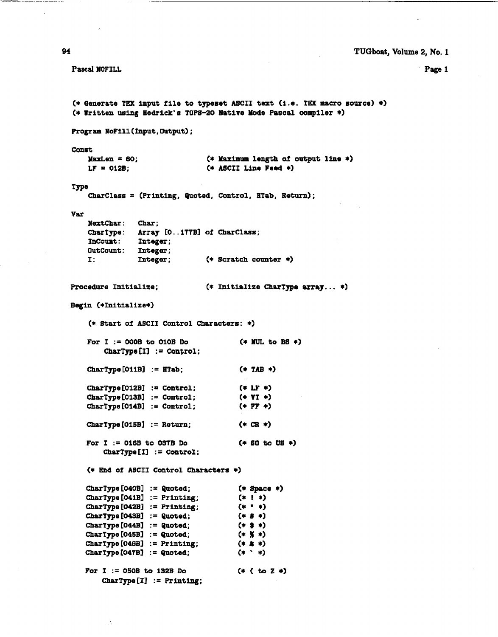Page 1

Pascal NOFILL

```
(* Generate TEX input file to typeset ASCII text (i.e. TEX macro source) *)
(* Written using Hedrick's TOPS-20 Native Mode Pascal compiler *)
Program NoFill(Input, Output);
Const
                               (* Maximum length of output line *)
   MaxLen = 60;
   LF = 012B:
                               (* ASCII Line Feed *)Type
    CharClass = (Printing, Quoted, Control, HTab, Return);
Var
    NextChar:
              Char;
    CharType: Array [O..177B] of CharClass;
    InCount:
               Integer;
    OutCount: Integer;
    I:Integer;
                              (* Scratch counter *)
Procedure Initialize;
                              (* Initialize CharType array... *)
Begin (*Initialize*)
    (* Start of ASCII Control Characters: *)
   For I := 000B to 010B Do
                                       (*) NUL to BS *)CharType [I] := Control;
   CharType [O11B] := HTab;
                                       (* TAB *)CharType [012B] := Control;
                                       (* LF*)CharType[013B] := Control;(*  VT *)CharType [014B] := Control;
                                       (* FF *)CharType [O15B] := Return;
                                       (* CR *)For I := 016B to 037B Do
                                       (* 80 to US *)CharType [1] := Control;
   (* End of ASCII Control Characters *)
   CharType [040B] := Quoted;
                                       (* Space *)(*) *)
   CharType [041B] := Printing;
   CharType [042B] := Printing;
                                     (* " *)CharType[043B] := Quoted;(*  # * )CharType[044B] := Quoted;(* * * )CharType [O45B] := Quoted;(* % *)CharType [046B] := Printing;
                                       (* 1)CharType [O47B] := Quoted;
                                      (* * * )For I := 050B to 132B Do
                                      (*) (to Z *)CharType [1] := Printing;
```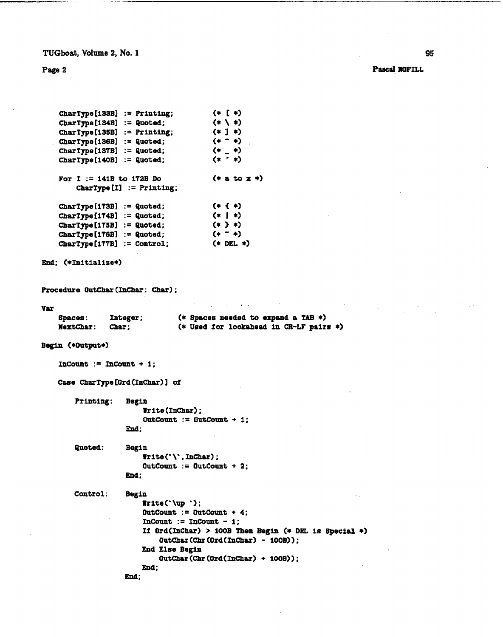**Page** 2

Pascal NOFILL

```
CharType [133B] := Printing;
                                           (* 1 *)CharType [134B] : = Quoted;
                                            (*) (*)CharType[135B] := Printing;(41)CharType[136B] := Quoted;(* - *)CharType[137B] := Quoted;(* - *)CharType[140B] := Quoted;(* * * )(* a to z *)For I := 141B to 172B Do
         CharType [I] := Printing;
                                            (*) (*)Chapter 173B := Quoted;
    Chapter 174B := Quoted;
                                            (*) *)
    CharType [175B] : = Quoted;
                                           (*) *)(* - *)CharType[176B] := Quoted;(* DEL *)CharType[177B] := Control;End; (*Initialize*)
Procedure OutChar (InChar: Char) ;
var 
                                  (* Spaces needed to expend a TAB *) (* Used for lookahead in CR-LF pairs *) 
    Spaces: Integer;<br>NextChar: Char;
    NextChar:
Begin (*Output*) 
    InCount := InCount + 1;
    Case CharType [Ord(InChar)] of
        Printing:
                     Begin 
                          Trite (InChar) ; 
                          \text{OutCount} := \text{OutCount} + 1;End; 
         Quoted: 
                     Begin
```
Control:  $T = \text{Tr}(\cdot \setminus \cdot, \text{InChar})$ ;  $\text{OutCount} := \text{OutCount} + 2$ ; **End** ; Begin Irite('\up **'1;** 

 $\text{OutCount} := \text{OutCount} + 4$ ; InCount := InCount  $-1$ ; If Ord(1nChar) > 1OOB **Then** Begin (\* **DEL** is Special \*) **OutChar (Chr** (Ord (Inchar) - 1OOB) ) ; End Else Begin  $0$ utChar (Chr (Ord(InChar) + 100B)); **End;** 

**End**: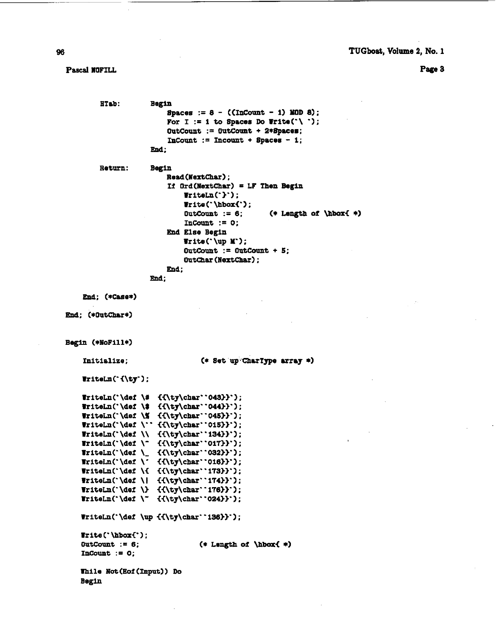**page a** 

**Pascal MOFILL** 

```
HTab:
                      Begin 
                          Spaces := 8 - ( CInCount - 1) XOD 8) ; 
                          For I := 1 to Spaces Do Write ('\ ');
                          OutCount := 0utCount + 2*Spaces;
                          InCount := Incount + Space8 - 1; 
                      mi; 
         Re turn: Begin 
                          Read (NertChar) ; 
                          Xf Ord(HaxtChar) = LF Then Begin 
                              WriteLn('}');
                              Irite('\hbox{');<br>OutCount := 6;
                                                    OutCount := 6; (* Length of bboxi *I 
                              InCount := 0; 
                          End Else Begin 
                              Write('\up Y'); 
                              OutCount := OutCauot + 5; 
                              Outchar (Nextchar) ; 
                          End; 
                     End; 
    End; (*Case*) 
End: (*OutChar*)
Begin (*NoFill*)
    Initialize;
                                   (* Set up CharType array *)
    Tritelm('_{\ty'}):Triteln('\def \# {\{ \ty\char' 043\}'}WriteLn('\def \$ {{\ty\char''044}}');
    WriteLn('\def \% {{\ty\char''045}}');
    WriteLn('\def \'' {{\ty\char''015}}');<br>WriteLn('\def \\ {{\ty\char''134}}');
    Triteln' \det \ ^{\{ \ty\char'017\}}');
    Triteln('\det \ _ {\{ \ty\char' 032\}'};
    \texttt{Fritelm('\def \{'\tf\ty\char'016)}')};WriteLn('\def \{ {{\ty\char''173}}');
    Tritelm('\det \\\{\{ \ty\char' 174\}^\})Triteln('\det' ' {\{ \ty\char' 024\}'}[TriteLn('\def \uparrow\{\\ty\char' 136\} ;
    Trite (. \hbar<' ) ; 
    OutCount := 6; 
                                  (* Length of \hbox{ *)
   InCount := 0; 
   While Not (Eof (Tnput) ) Do 
   Begin
```